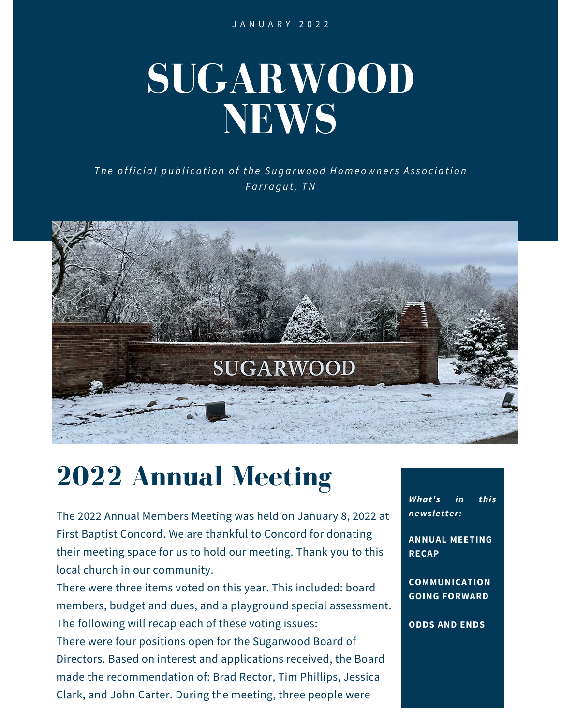J A N U A R Y 2 0 2 2

# **SUGARWOOD NEWS**

The official publication of the Sugarwood Homeowners Association *F a rr a g u t, TN*



# **2022 Annual Meeting**

The 2022 Annual Members Meeting was held on January 8, 2022 at First Baptist Concord. We are thankful to Concord for donating their meeting space for us to hold our meeting. Thank you to this local church in our community.

There were three items voted on this year. This included: board members, budget and dues, and a playground special assessment. The following will recap each of these voting issues:

There were four positions open for the Sugarwood Board of Directors. Based on interest and applications received, the Board made the recommendation of: Brad Rector, Tim Phillips, Jessica Clark, and John Carter. During the meeting, three people were

*What's in this newsletter:*

**ANNUAL MEETING RECAP**

**COMMUNICATION GOING FORWARD**

**ODDS AND ENDS**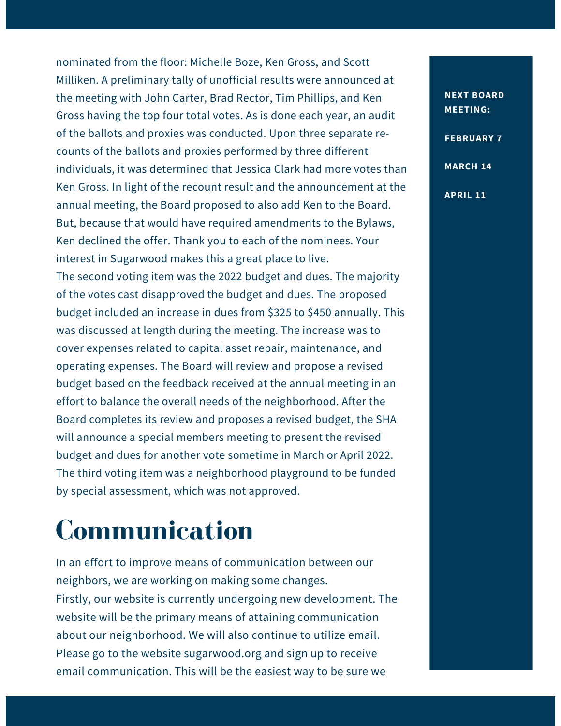nominated from the floor: Michelle Boze, Ken Gross, and Scott Milliken. A preliminary tally of unofficial results were announced at the meeting with John Carter, Brad Rector, Tim Phillips, and Ken Gross having the top four total votes. As is done each year, an audit of the ballots and proxies was conducted. Upon three separate recounts of the ballots and proxies performed by three different individuals, it was determined that Jessica Clark had more votes than Ken Gross. In light of the recount result and the announcement at the annual meeting, the Board proposed to also add Ken to the Board. But, because that would have required amendments to the Bylaws, Ken declined the offer. Thank you to each of the nominees. Your interest in Sugarwood makes this a great place to live. The second voting item was the 2022 budget and dues. The majority of the votes cast disapproved the budget and dues. The proposed budget included an increase in dues from \$325 to \$450 annually. This was discussed at length during the meeting. The increase was to cover expenses related to capital asset repair, maintenance, and operating expenses. The Board will review and propose a revised budget based on the feedback received at the annual meeting in an effort to balance the overall needs of the neighborhood. After the Board completes its review and proposes a revised budget, the SHA will announce a special members meeting to present the revised budget and dues for another vote sometime in March or April 2022. The third voting item was a neighborhood playground to be funded by special assessment, which was not approved.

### **Communication**

In an effort to improve means of communication between our neighbors, we are working on making some changes. Firstly, our website is currently undergoing new development. The website will be the primary means of attaining communication about our neighborhood. We will also continue to utilize email. Please go to the website [sugarwood.org](http://sugarwood.org/) and sign up to receive email communication. This will be the easiest way to be sure we

#### **NEXT BOARD MEETING:**

**FEBRUARY 7**

**MARCH 14**

**APRIL 11**